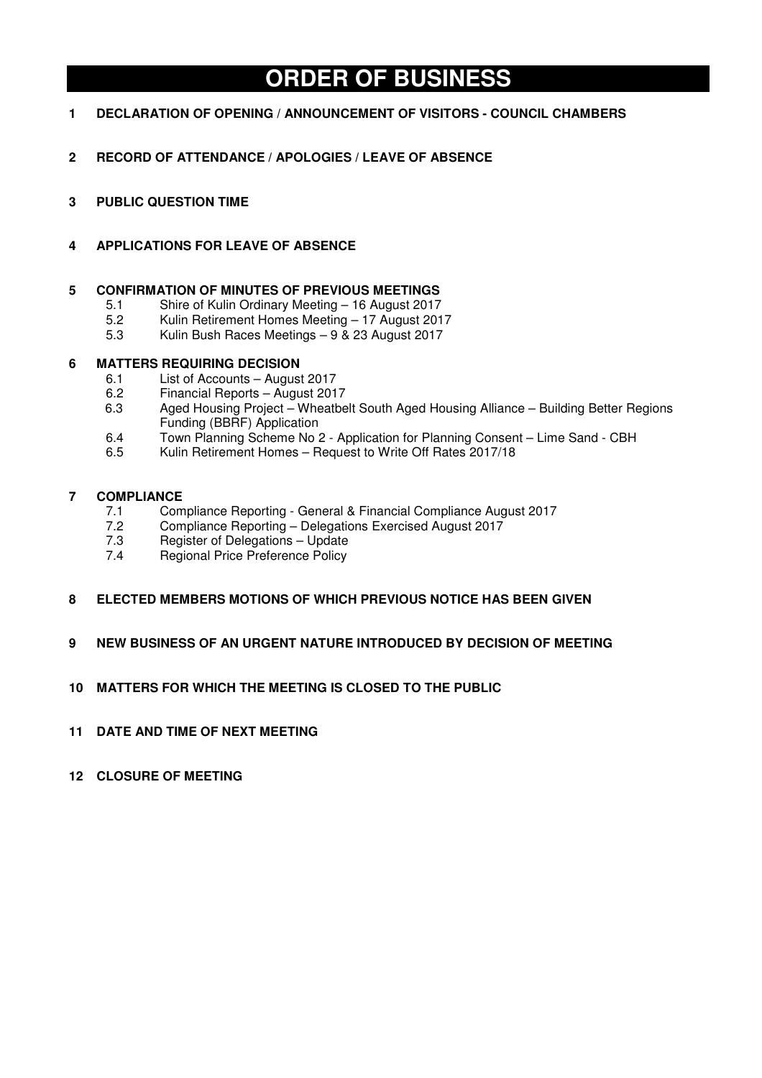# **ORDER OF BUSINESS**

- **1 DECLARATION OF OPENING / ANNOUNCEMENT OF VISITORS COUNCIL CHAMBERS**
- **2 RECORD OF ATTENDANCE / APOLOGIES / LEAVE OF ABSENCE**
- **3 PUBLIC QUESTION TIME**

# **4 APPLICATIONS FOR LEAVE OF ABSENCE**

# **5 CONFIRMATION OF MINUTES OF PREVIOUS MEETINGS**

- 5.1 Shire of Kulin Ordinary Meeting 16 August 2017
- 5.2 Kulin Retirement Homes Meeting 17 August 2017
- 5.3 Kulin Bush Races Meetings 9 & 23 August 2017

# **6 MATTERS REQUIRING DECISION**

- 6.1 List of Accounts August 2017<br>6.2 Financial Reports August 201
- 6.2 Financial Reports August 2017
- 6.3 Aged Housing Project Wheatbelt South Aged Housing Alliance Building Better Regions Funding (BBRF) Application
- 6.4 Town Planning Scheme No 2 Application for Planning Consent Lime Sand CBH
- 6.5 Kulin Retirement Homes Request to Write Off Rates 2017/18

# **7 COMPLIANCE**<br> **7.1 Com**

- 7.1 Compliance Reporting General & Financial Compliance August 2017<br>7.2 Compliance Reporting Delegations Exercised August 2017
- 7.2 Compliance Reporting Delegations Exercised August 2017<br>7.3 Register of Delegations Update
- 7.3 Register of Delegations Update<br>7.4 Regional Price Preference Policy
- Regional Price Preference Policy
- **8 ELECTED MEMBERS MOTIONS OF WHICH PREVIOUS NOTICE HAS BEEN GIVEN**
- **9 NEW BUSINESS OF AN URGENT NATURE INTRODUCED BY DECISION OF MEETING**
- **10 MATTERS FOR WHICH THE MEETING IS CLOSED TO THE PUBLIC**
- **11 DATE AND TIME OF NEXT MEETING**
- **12 CLOSURE OF MEETING**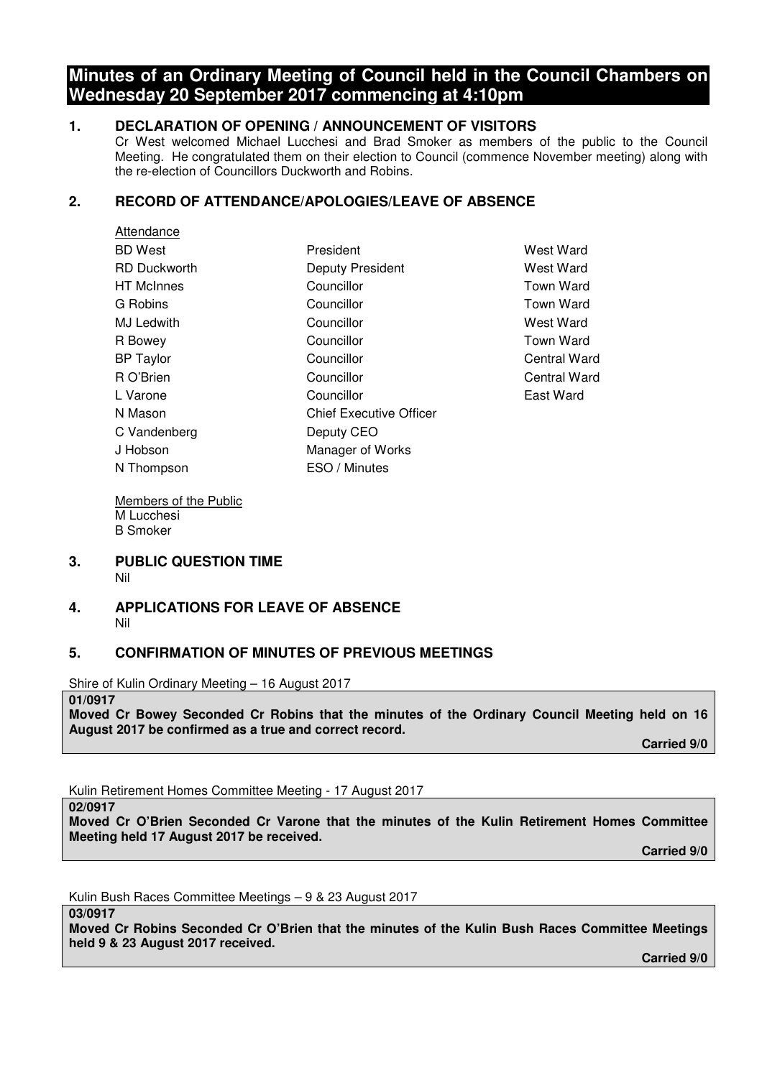# **Minutes of an Ordinary Meeting of Council held in the Council Chambers on Wednesday 20 September 2017 commencing at 4:10pm**

# **1. DECLARATION OF OPENING / ANNOUNCEMENT OF VISITORS**

Cr West welcomed Michael Lucchesi and Brad Smoker as members of the public to the Council Meeting. He congratulated them on their election to Council (commence November meeting) along with the re-election of Councillors Duckworth and Robins.

# **2. RECORD OF ATTENDANCE/APOLOGIES/LEAVE OF ABSENCE**

| Attendance          |                                |                  |
|---------------------|--------------------------------|------------------|
| <b>BD</b> West      | President                      | West Ward        |
| <b>RD Duckworth</b> | Deputy President               | West Ward        |
| <b>HT</b> McInnes   | Councillor                     | Town Ward        |
| G Robins            | Councillor                     | <b>Town Ward</b> |
| MJ Ledwith          | Councillor                     | West Ward        |
| R Bowey             | Councillor                     | <b>Town Ward</b> |
| <b>BP</b> Taylor    | Councillor                     | Central Ward     |
| R O'Brien           | Councillor                     | Central Ward     |
| L Varone            | Councillor                     | East Ward        |
| N Mason             | <b>Chief Executive Officer</b> |                  |
| C Vandenberg        | Deputy CEO                     |                  |
| J Hobson            | Manager of Works               |                  |
| N Thompson          | ESO / Minutes                  |                  |

Members of the Public M Lucchesi B Smoker

#### **3. PUBLIC QUESTION TIME**  Nil

# **4. APPLICATIONS FOR LEAVE OF ABSENCE**  Nil

# **5. CONFIRMATION OF MINUTES OF PREVIOUS MEETINGS**

Shire of Kulin Ordinary Meeting – 16 August 2017

### **01/0917**

**Moved Cr Bowey Seconded Cr Robins that the minutes of the Ordinary Council Meeting held on 16 August 2017 be confirmed as a true and correct record.** 

 **Carried 9/0** 

Kulin Retirement Homes Committee Meeting - 17 August 2017

**02/0917** 

**Moved Cr O'Brien Seconded Cr Varone that the minutes of the Kulin Retirement Homes Committee Meeting held 17 August 2017 be received.** 

 **Carried 9/0** 

Kulin Bush Races Committee Meetings – 9 & 23 August 2017

**03/0917** 

**Moved Cr Robins Seconded Cr O'Brien that the minutes of the Kulin Bush Races Committee Meetings held 9 & 23 August 2017 received.**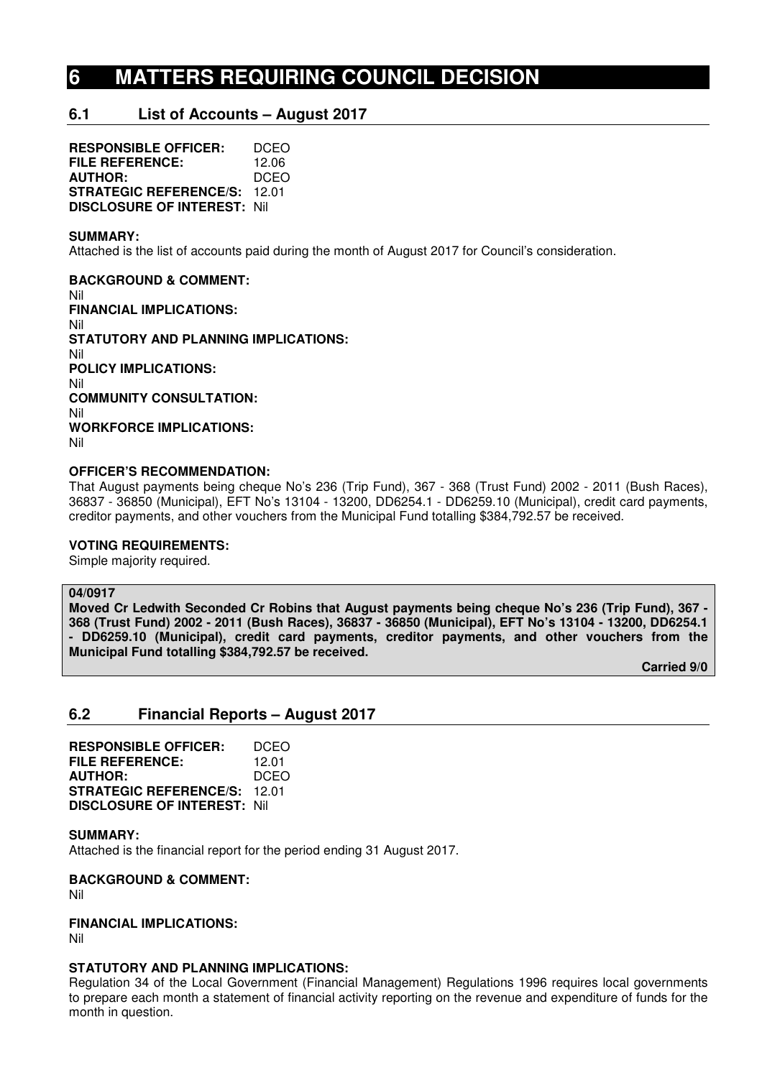# **6 MATTERS REQUIRING COUNCIL DECISION**

# **6.1 List of Accounts – August 2017**

**RESPONSIBLE OFFICER:** DCEO **FILE REFERENCE:** 12.06<br>**AUTHOR:** DCEO **AUTHOR: STRATEGIC REFERENCE/S:** 12.01 **DISCLOSURE OF INTEREST:** Nil

#### **SUMMARY:**

Attached is the list of accounts paid during the month of August 2017 for Council's consideration.

**BACKGROUND & COMMENT:**  Nil **FINANCIAL IMPLICATIONS:**  Nil **STATUTORY AND PLANNING IMPLICATIONS:**  Nil **POLICY IMPLICATIONS:**  Nil **COMMUNITY CONSULTATION:**  Nil **WORKFORCE IMPLICATIONS:**  Nil

### **OFFICER'S RECOMMENDATION:**

That August payments being cheque No's 236 (Trip Fund), 367 - 368 (Trust Fund) 2002 - 2011 (Bush Races), 36837 - 36850 (Municipal), EFT No's 13104 - 13200, DD6254.1 - DD6259.10 (Municipal), credit card payments, creditor payments, and other vouchers from the Municipal Fund totalling \$384,792.57 be received.

#### **VOTING REQUIREMENTS:**

Simple majority required.

#### **04/0917**

**Moved Cr Ledwith Seconded Cr Robins that August payments being cheque No's 236 (Trip Fund), 367 - 368 (Trust Fund) 2002 - 2011 (Bush Races), 36837 - 36850 (Municipal), EFT No's 13104 - 13200, DD6254.1 - DD6259.10 (Municipal), credit card payments, creditor payments, and other vouchers from the Municipal Fund totalling \$384,792.57 be received.** 

 **Carried 9/0** 

## **6.2 Financial Reports – August 2017**

**RESPONSIBLE OFFICER:** DCEO **FILE REFERENCE:** 12.01 **AUTHOR:** DCEO **STRATEGIC REFERENCE/S:** 12.01 **DISCLOSURE OF INTEREST:** Nil

#### **SUMMARY:**

Attached is the financial report for the period ending 31 August 2017.

**BACKGROUND & COMMENT:** 

Nil

# **FINANCIAL IMPLICATIONS:**

Nil

# **STATUTORY AND PLANNING IMPLICATIONS:**

Regulation 34 of the Local Government (Financial Management) Regulations 1996 requires local governments to prepare each month a statement of financial activity reporting on the revenue and expenditure of funds for the month in question.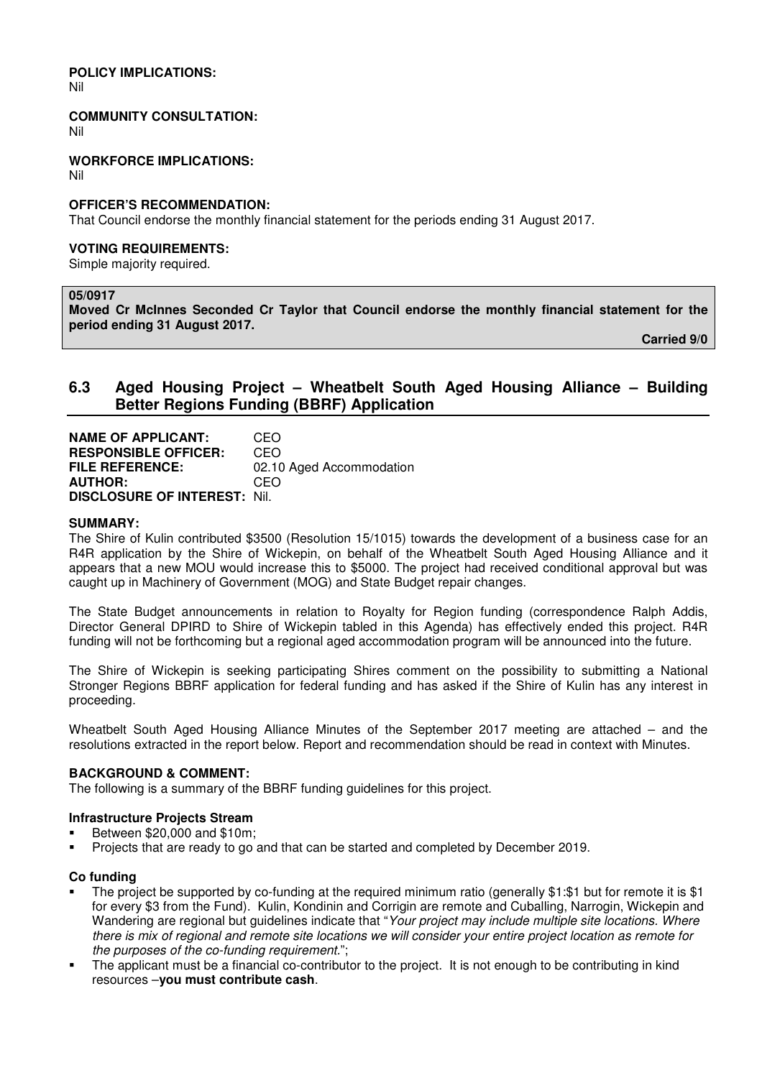**POLICY IMPLICATIONS:** 

Nil

**COMMUNITY CONSULTATION:** 

Nil

**WORKFORCE IMPLICATIONS:** 

Nil

### **OFFICER'S RECOMMENDATION:**

That Council endorse the monthly financial statement for the periods ending 31 August 2017.

#### **VOTING REQUIREMENTS:**

Simple majority required.

# **05/0917**

**Moved Cr McInnes Seconded Cr Taylor that Council endorse the monthly financial statement for the period ending 31 August 2017.** 

 **Carried 9/0** 

# **6.3 Aged Housing Project – Wheatbelt South Aged Housing Alliance – Building Better Regions Funding (BBRF) Application**

**NAME OF APPLICANT:** CEO **RESPONSIBLE OFFICER:** CEO **FILE REFERENCE:** 02.10 Aged Accommodation **AUTHOR:** CEO **DISCLOSURE OF INTEREST:** Nil.

#### **SUMMARY:**

The Shire of Kulin contributed \$3500 (Resolution 15/1015) towards the development of a business case for an R4R application by the Shire of Wickepin, on behalf of the Wheatbelt South Aged Housing Alliance and it appears that a new MOU would increase this to \$5000. The project had received conditional approval but was caught up in Machinery of Government (MOG) and State Budget repair changes.

The State Budget announcements in relation to Royalty for Region funding (correspondence Ralph Addis, Director General DPIRD to Shire of Wickepin tabled in this Agenda) has effectively ended this project. R4R funding will not be forthcoming but a regional aged accommodation program will be announced into the future.

The Shire of Wickepin is seeking participating Shires comment on the possibility to submitting a National Stronger Regions BBRF application for federal funding and has asked if the Shire of Kulin has any interest in proceeding.

Wheatbelt South Aged Housing Alliance Minutes of the September 2017 meeting are attached – and the resolutions extracted in the report below. Report and recommendation should be read in context with Minutes.

## **BACKGROUND & COMMENT:**

The following is a summary of the BBRF funding guidelines for this project.

## **Infrastructure Projects Stream**

- Between \$20,000 and \$10m;
- Projects that are ready to go and that can be started and completed by December 2019.

#### **Co funding**

- The project be supported by co-funding at the required minimum ratio (generally \$1:\$1 but for remote it is \$1 for every \$3 from the Fund). Kulin, Kondinin and Corrigin are remote and Cuballing, Narrogin, Wickepin and Wandering are regional but guidelines indicate that "Your project may include multiple site locations. Where there is mix of regional and remote site locations we will consider your entire project location as remote for the purposes of the co-funding requirement.";
- The applicant must be a financial co-contributor to the project. It is not enough to be contributing in kind resources –**you must contribute cash**.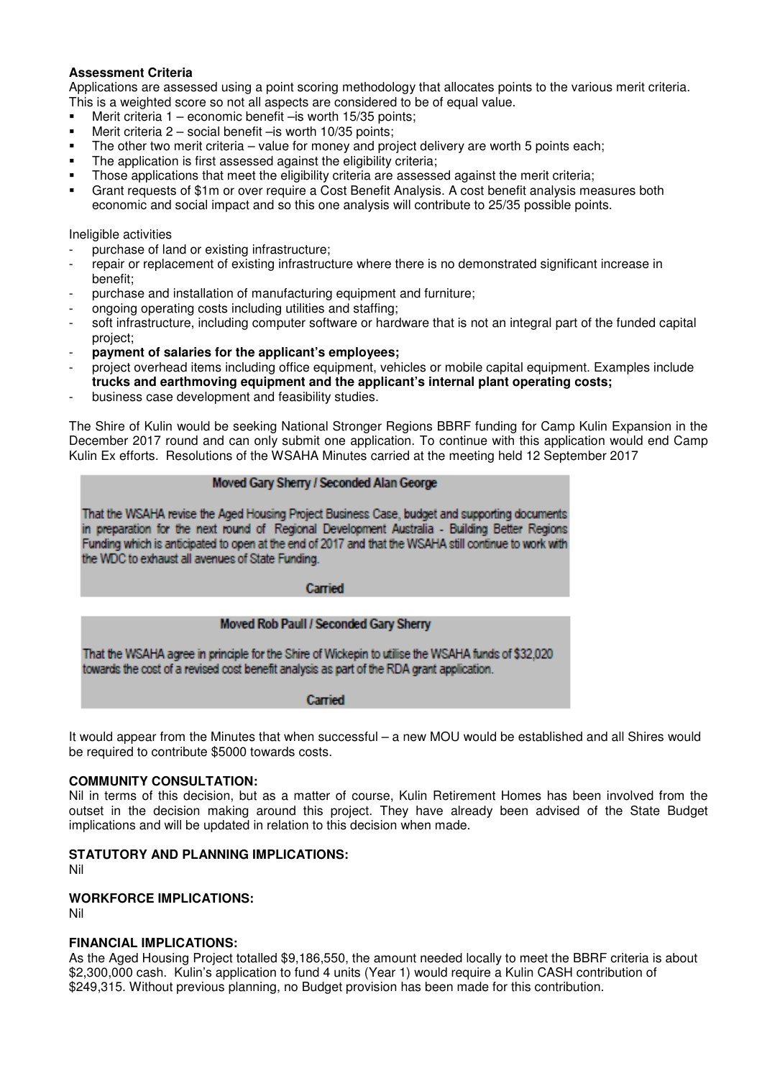## **Assessment Criteria**

Applications are assessed using a point scoring methodology that allocates points to the various merit criteria. This is a weighted score so not all aspects are considered to be of equal value.

- Merit criteria 1 economic benefit –is worth 15/35 points;
- Merit criteria  $2$  social benefit is worth 10/35 points;
- The other two merit criteria value for money and project delivery are worth 5 points each;
- The application is first assessed against the eligibility criteria;
- Those applications that meet the eligibility criteria are assessed against the merit criteria;
- Grant requests of \$1m or over require a Cost Benefit Analysis. A cost benefit analysis measures both economic and social impact and so this one analysis will contribute to 25/35 possible points.

Ineligible activities

- purchase of land or existing infrastructure;
- repair or replacement of existing infrastructure where there is no demonstrated significant increase in benefit;
- purchase and installation of manufacturing equipment and furniture;
- ongoing operating costs including utilities and staffing;
- soft infrastructure, including computer software or hardware that is not an integral part of the funded capital project;
- **payment of salaries for the applicant's employees;**
- project overhead items including office equipment, vehicles or mobile capital equipment. Examples include **trucks and earthmoving equipment and the applicant's internal plant operating costs;**
- business case development and feasibility studies.

The Shire of Kulin would be seeking National Stronger Regions BBRF funding for Camp Kulin Expansion in the December 2017 round and can only submit one application. To continue with this application would end Camp Kulin Ex efforts. Resolutions of the WSAHA Minutes carried at the meeting held 12 September 2017

#### Moved Gary Sherry / Seconded Alan George

That the WSAHA revise the Aged Housing Project Business Case, budget and supporting documents in preparation for the next round of Regional Development Australia - Building Better Regions Funding which is anticipated to open at the end of 2017 and that the WSAHA still continue to work with the WDC to exhaust all avenues of State Funding.

Carried

## Moved Rob Paull / Seconded Gary Sherry

That the WSAHA agree in principle for the Shire of Wickepin to utilise the WSAHA funds of \$32,020 towards the cost of a revised cost benefit analysis as part of the RDA grant application.

Carried

It would appear from the Minutes that when successful – a new MOU would be established and all Shires would be required to contribute \$5000 towards costs.

### **COMMUNITY CONSULTATION:**

Nil in terms of this decision, but as a matter of course, Kulin Retirement Homes has been involved from the outset in the decision making around this project. They have already been advised of the State Budget implications and will be updated in relation to this decision when made.

## **STATUTORY AND PLANNING IMPLICATIONS:**

Nil

## **WORKFORCE IMPLICATIONS:**

Nil

#### **FINANCIAL IMPLICATIONS:**

As the Aged Housing Project totalled \$9,186,550, the amount needed locally to meet the BBRF criteria is about \$2,300,000 cash. Kulin's application to fund 4 units (Year 1) would require a Kulin CASH contribution of \$249,315. Without previous planning, no Budget provision has been made for this contribution.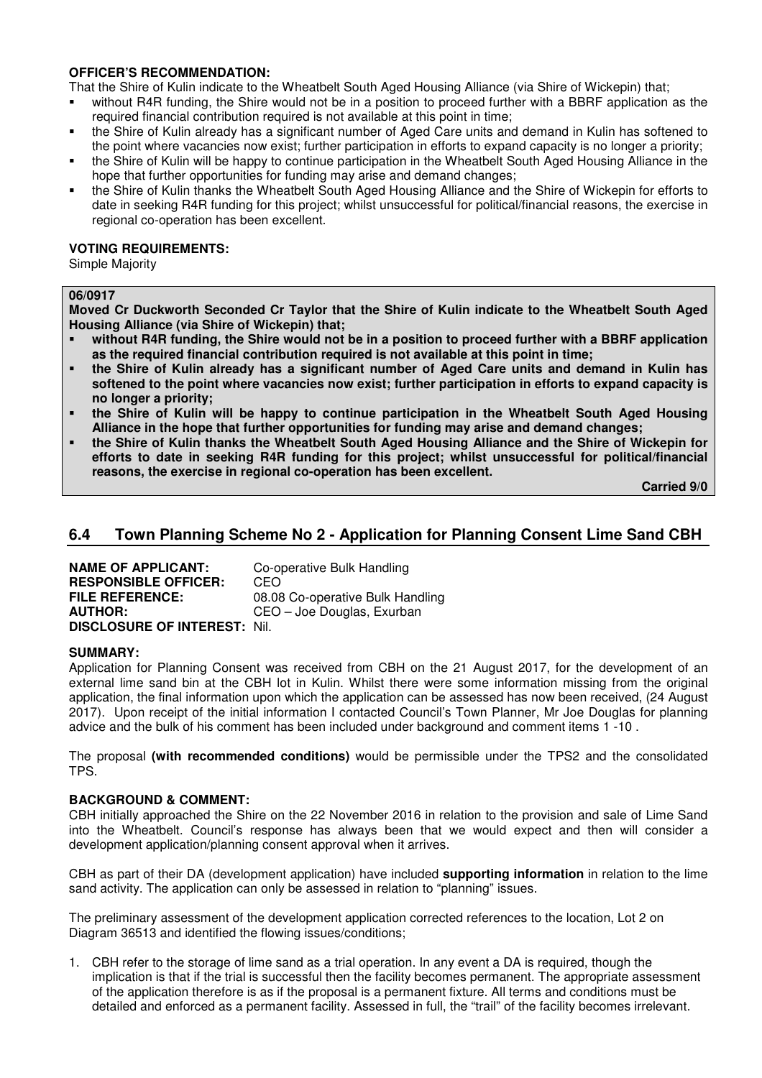# **OFFICER'S RECOMMENDATION:**

That the Shire of Kulin indicate to the Wheatbelt South Aged Housing Alliance (via Shire of Wickepin) that;

- without R4R funding, the Shire would not be in a position to proceed further with a BBRF application as the required financial contribution required is not available at this point in time;
- the Shire of Kulin already has a significant number of Aged Care units and demand in Kulin has softened to the point where vacancies now exist; further participation in efforts to expand capacity is no longer a priority;
- the Shire of Kulin will be happy to continue participation in the Wheatbelt South Aged Housing Alliance in the hope that further opportunities for funding may arise and demand changes;
- the Shire of Kulin thanks the Wheatbelt South Aged Housing Alliance and the Shire of Wickepin for efforts to date in seeking R4R funding for this project; whilst unsuccessful for political/financial reasons, the exercise in regional co-operation has been excellent.

### **VOTING REQUIREMENTS:**

Simple Majority

# **06/0917**

**Moved Cr Duckworth Seconded Cr Taylor that the Shire of Kulin indicate to the Wheatbelt South Aged Housing Alliance (via Shire of Wickepin) that;** 

- **without R4R funding, the Shire would not be in a position to proceed further with a BBRF application as the required financial contribution required is not available at this point in time;**
- **the Shire of Kulin already has a significant number of Aged Care units and demand in Kulin has softened to the point where vacancies now exist; further participation in efforts to expand capacity is no longer a priority;**
- **the Shire of Kulin will be happy to continue participation in the Wheatbelt South Aged Housing Alliance in the hope that further opportunities for funding may arise and demand changes;**
- **the Shire of Kulin thanks the Wheatbelt South Aged Housing Alliance and the Shire of Wickepin for efforts to date in seeking R4R funding for this project; whilst unsuccessful for political/financial reasons, the exercise in regional co-operation has been excellent.**

 **Carried 9/0** 

# **6.4 Town Planning Scheme No 2 - Application for Planning Consent Lime Sand CBH**

**NAME OF APPLICANT:** Co-operative Bulk Handling **RESPONSIBLE OFFICER:** CEO **FILE REFERENCE:** 08.08 Co-operative Bulk Handling **AUTHOR:** CEO – Joe Douglas, Exurban **DISCLOSURE OF INTEREST:** Nil.

## **SUMMARY:**

Application for Planning Consent was received from CBH on the 21 August 2017, for the development of an external lime sand bin at the CBH lot in Kulin. Whilst there were some information missing from the original application, the final information upon which the application can be assessed has now been received, (24 August 2017). Upon receipt of the initial information I contacted Council's Town Planner, Mr Joe Douglas for planning advice and the bulk of his comment has been included under background and comment items 1 -10 .

The proposal **(with recommended conditions)** would be permissible under the TPS2 and the consolidated TPS.

## **BACKGROUND & COMMENT:**

CBH initially approached the Shire on the 22 November 2016 in relation to the provision and sale of Lime Sand into the Wheatbelt. Council's response has always been that we would expect and then will consider a development application/planning consent approval when it arrives.

CBH as part of their DA (development application) have included **supporting information** in relation to the lime sand activity. The application can only be assessed in relation to "planning" issues.

The preliminary assessment of the development application corrected references to the location, Lot 2 on Diagram 36513 and identified the flowing issues/conditions;

1. CBH refer to the storage of lime sand as a trial operation. In any event a DA is required, though the implication is that if the trial is successful then the facility becomes permanent. The appropriate assessment of the application therefore is as if the proposal is a permanent fixture. All terms and conditions must be detailed and enforced as a permanent facility. Assessed in full, the "trail" of the facility becomes irrelevant.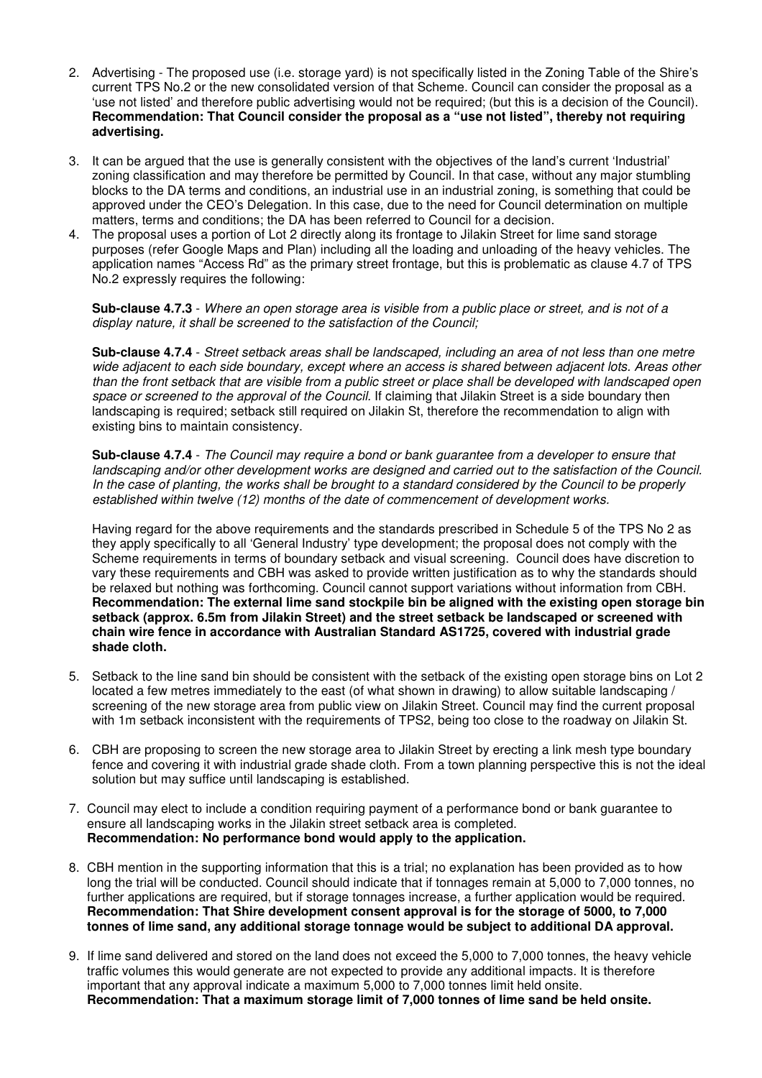- 2. Advertising The proposed use (i.e. storage yard) is not specifically listed in the Zoning Table of the Shire's current TPS No.2 or the new consolidated version of that Scheme. Council can consider the proposal as a 'use not listed' and therefore public advertising would not be required; (but this is a decision of the Council). **Recommendation: That Council consider the proposal as a "use not listed", thereby not requiring advertising.**
- 3. It can be argued that the use is generally consistent with the objectives of the land's current 'Industrial' zoning classification and may therefore be permitted by Council. In that case, without any major stumbling blocks to the DA terms and conditions, an industrial use in an industrial zoning, is something that could be approved under the CEO's Delegation. In this case, due to the need for Council determination on multiple matters, terms and conditions; the DA has been referred to Council for a decision.
- 4. The proposal uses a portion of Lot 2 directly along its frontage to Jilakin Street for lime sand storage purposes (refer Google Maps and Plan) including all the loading and unloading of the heavy vehicles. The application names "Access Rd" as the primary street frontage, but this is problematic as clause 4.7 of TPS No.2 expressly requires the following:

**Sub-clause 4.7.3** - Where an open storage area is visible from a public place or street, and is not of a display nature, it shall be screened to the satisfaction of the Council;

**Sub-clause 4.7.4** - Street setback areas shall be landscaped, including an area of not less than one metre wide adjacent to each side boundary, except where an access is shared between adjacent lots. Areas other than the front setback that are visible from a public street or place shall be developed with landscaped open space or screened to the approval of the Council. If claiming that Jilakin Street is a side boundary then landscaping is required; setback still required on Jilakin St, therefore the recommendation to align with existing bins to maintain consistency.

**Sub-clause 4.7.4** - The Council may require a bond or bank guarantee from a developer to ensure that landscaping and/or other development works are designed and carried out to the satisfaction of the Council. In the case of planting, the works shall be brought to a standard considered by the Council to be properly established within twelve (12) months of the date of commencement of development works.

Having regard for the above requirements and the standards prescribed in Schedule 5 of the TPS No 2 as they apply specifically to all 'General Industry' type development; the proposal does not comply with the Scheme requirements in terms of boundary setback and visual screening. Council does have discretion to vary these requirements and CBH was asked to provide written justification as to why the standards should be relaxed but nothing was forthcoming. Council cannot support variations without information from CBH. **Recommendation: The external lime sand stockpile bin be aligned with the existing open storage bin setback (approx. 6.5m from Jilakin Street) and the street setback be landscaped or screened with chain wire fence in accordance with Australian Standard AS1725, covered with industrial grade shade cloth.** 

- 5. Setback to the line sand bin should be consistent with the setback of the existing open storage bins on Lot 2 located a few metres immediately to the east (of what shown in drawing) to allow suitable landscaping / screening of the new storage area from public view on Jilakin Street. Council may find the current proposal with 1m setback inconsistent with the requirements of TPS2, being too close to the roadway on Jilakin St.
- 6. CBH are proposing to screen the new storage area to Jilakin Street by erecting a link mesh type boundary fence and covering it with industrial grade shade cloth. From a town planning perspective this is not the ideal solution but may suffice until landscaping is established.
- 7. Council may elect to include a condition requiring payment of a performance bond or bank guarantee to ensure all landscaping works in the Jilakin street setback area is completed. **Recommendation: No performance bond would apply to the application.**
- 8. CBH mention in the supporting information that this is a trial; no explanation has been provided as to how long the trial will be conducted. Council should indicate that if tonnages remain at 5,000 to 7,000 tonnes, no further applications are required, but if storage tonnages increase, a further application would be required. **Recommendation: That Shire development consent approval is for the storage of 5000, to 7,000 tonnes of lime sand, any additional storage tonnage would be subject to additional DA approval.**
- 9. If lime sand delivered and stored on the land does not exceed the 5,000 to 7,000 tonnes, the heavy vehicle traffic volumes this would generate are not expected to provide any additional impacts. It is therefore important that any approval indicate a maximum 5,000 to 7,000 tonnes limit held onsite. **Recommendation: That a maximum storage limit of 7,000 tonnes of lime sand be held onsite.**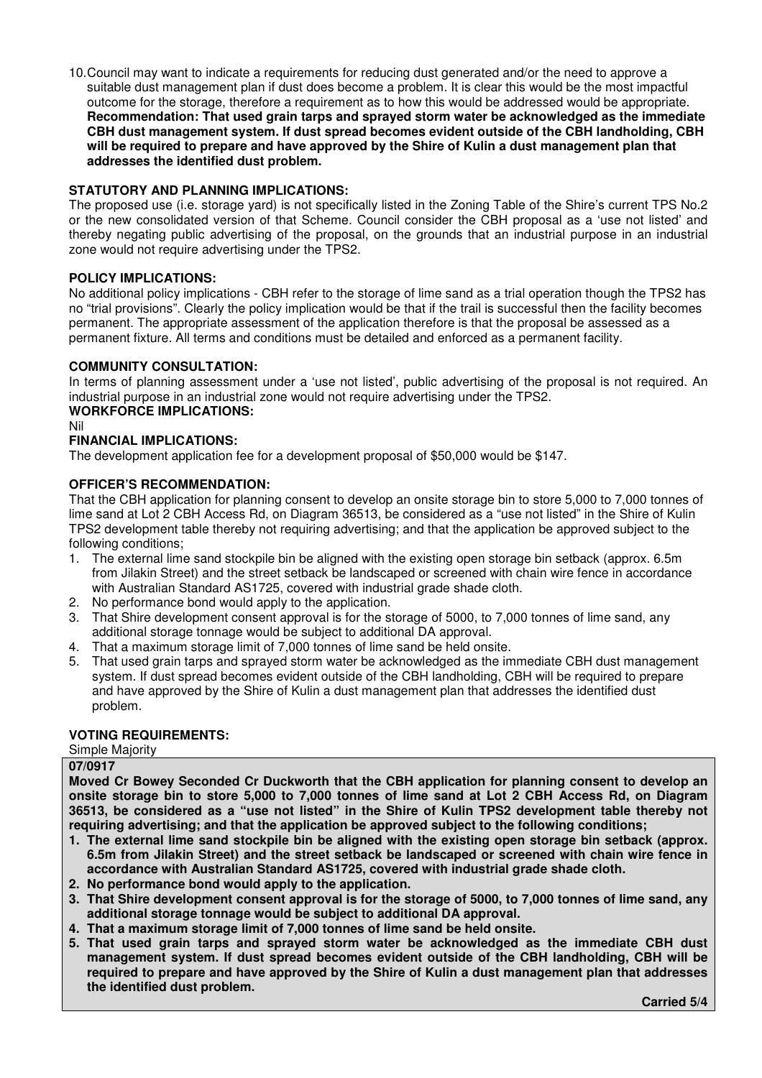10. Council may want to indicate a requirements for reducing dust generated and/or the need to approve a suitable dust management plan if dust does become a problem. It is clear this would be the most impactful outcome for the storage, therefore a requirement as to how this would be addressed would be appropriate. **Recommendation: That used grain tarps and sprayed storm water be acknowledged as the immediate CBH dust management system. If dust spread becomes evident outside of the CBH landholding, CBH will be required to prepare and have approved by the Shire of Kulin a dust management plan that addresses the identified dust problem.** 

# **STATUTORY AND PLANNING IMPLICATIONS:**

The proposed use (i.e. storage yard) is not specifically listed in the Zoning Table of the Shire's current TPS No.2 or the new consolidated version of that Scheme. Council consider the CBH proposal as a 'use not listed' and thereby negating public advertising of the proposal, on the grounds that an industrial purpose in an industrial zone would not require advertising under the TPS2.

# **POLICY IMPLICATIONS:**

No additional policy implications - CBH refer to the storage of lime sand as a trial operation though the TPS2 has no "trial provisions". Clearly the policy implication would be that if the trail is successful then the facility becomes permanent. The appropriate assessment of the application therefore is that the proposal be assessed as a permanent fixture. All terms and conditions must be detailed and enforced as a permanent facility.

## **COMMUNITY CONSULTATION:**

In terms of planning assessment under a 'use not listed', public advertising of the proposal is not required. An industrial purpose in an industrial zone would not require advertising under the TPS2. **WORKFORCE IMPLICATIONS:** 

#### Nil

## **FINANCIAL IMPLICATIONS:**

The development application fee for a development proposal of \$50,000 would be \$147.

### **OFFICER'S RECOMMENDATION:**

That the CBH application for planning consent to develop an onsite storage bin to store 5,000 to 7,000 tonnes of lime sand at Lot 2 CBH Access Rd, on Diagram 36513, be considered as a "use not listed" in the Shire of Kulin TPS2 development table thereby not requiring advertising; and that the application be approved subject to the following conditions;

- 1. The external lime sand stockpile bin be aligned with the existing open storage bin setback (approx. 6.5m from Jilakin Street) and the street setback be landscaped or screened with chain wire fence in accordance with Australian Standard AS1725, covered with industrial grade shade cloth.
- 2. No performance bond would apply to the application.
- 3. That Shire development consent approval is for the storage of 5000, to 7,000 tonnes of lime sand, any additional storage tonnage would be subject to additional DA approval.
- 4. That a maximum storage limit of 7,000 tonnes of lime sand be held onsite.
- 5. That used grain tarps and sprayed storm water be acknowledged as the immediate CBH dust management system. If dust spread becomes evident outside of the CBH landholding, CBH will be required to prepare and have approved by the Shire of Kulin a dust management plan that addresses the identified dust problem.

### **VOTING REQUIREMENTS:**

Simple Majority

#### **07/0917**

**Moved Cr Bowey Seconded Cr Duckworth that the CBH application for planning consent to develop an onsite storage bin to store 5,000 to 7,000 tonnes of lime sand at Lot 2 CBH Access Rd, on Diagram 36513, be considered as a "use not listed" in the Shire of Kulin TPS2 development table thereby not requiring advertising; and that the application be approved subject to the following conditions;** 

- **1. The external lime sand stockpile bin be aligned with the existing open storage bin setback (approx. 6.5m from Jilakin Street) and the street setback be landscaped or screened with chain wire fence in accordance with Australian Standard AS1725, covered with industrial grade shade cloth.**
- **2. No performance bond would apply to the application.**
- **3. That Shire development consent approval is for the storage of 5000, to 7,000 tonnes of lime sand, any additional storage tonnage would be subject to additional DA approval.**
- **4. That a maximum storage limit of 7,000 tonnes of lime sand be held onsite.**
- **5. That used grain tarps and sprayed storm water be acknowledged as the immediate CBH dust management system. If dust spread becomes evident outside of the CBH landholding, CBH will be required to prepare and have approved by the Shire of Kulin a dust management plan that addresses the identified dust problem.**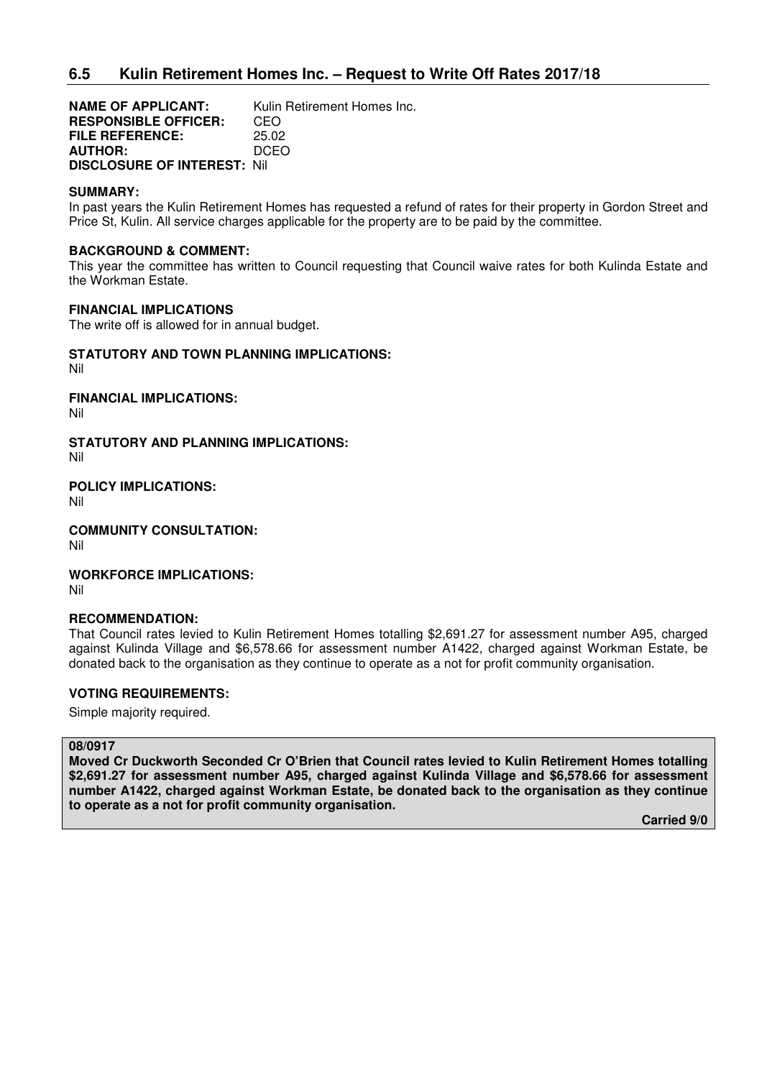# **6.5 Kulin Retirement Homes Inc. – Request to Write Off Rates 2017/18**

**NAME OF APPLICANT:** Kulin Retirement Homes Inc. **RESPONSIBLE OFFICER:** CEO **FILE REFERENCE:** 25.02 **AUTHOR:** DCEO **DISCLOSURE OF INTEREST:** Nil

#### **SUMMARY:**

In past years the Kulin Retirement Homes has requested a refund of rates for their property in Gordon Street and Price St, Kulin. All service charges applicable for the property are to be paid by the committee.

### **BACKGROUND & COMMENT:**

This year the committee has written to Council requesting that Council waive rates for both Kulinda Estate and the Workman Estate.

### **FINANCIAL IMPLICATIONS**

The write off is allowed for in annual budget.

# **STATUTORY AND TOWN PLANNING IMPLICATIONS:**

Nil

**FINANCIAL IMPLICATIONS:**

Nil

# **STATUTORY AND PLANNING IMPLICATIONS:**

Nil

**POLICY IMPLICATIONS:** Nil

**COMMUNITY CONSULTATION:** Nil

**WORKFORCE IMPLICATIONS:** Nil

#### **RECOMMENDATION:**

That Council rates levied to Kulin Retirement Homes totalling \$2,691.27 for assessment number A95, charged against Kulinda Village and \$6,578.66 for assessment number A1422, charged against Workman Estate, be donated back to the organisation as they continue to operate as a not for profit community organisation.

## **VOTING REQUIREMENTS:**

Simple majority required.

#### **08/0917**

**Moved Cr Duckworth Seconded Cr O'Brien that Council rates levied to Kulin Retirement Homes totalling \$2,691.27 for assessment number A95, charged against Kulinda Village and \$6,578.66 for assessment number A1422, charged against Workman Estate, be donated back to the organisation as they continue to operate as a not for profit community organisation.**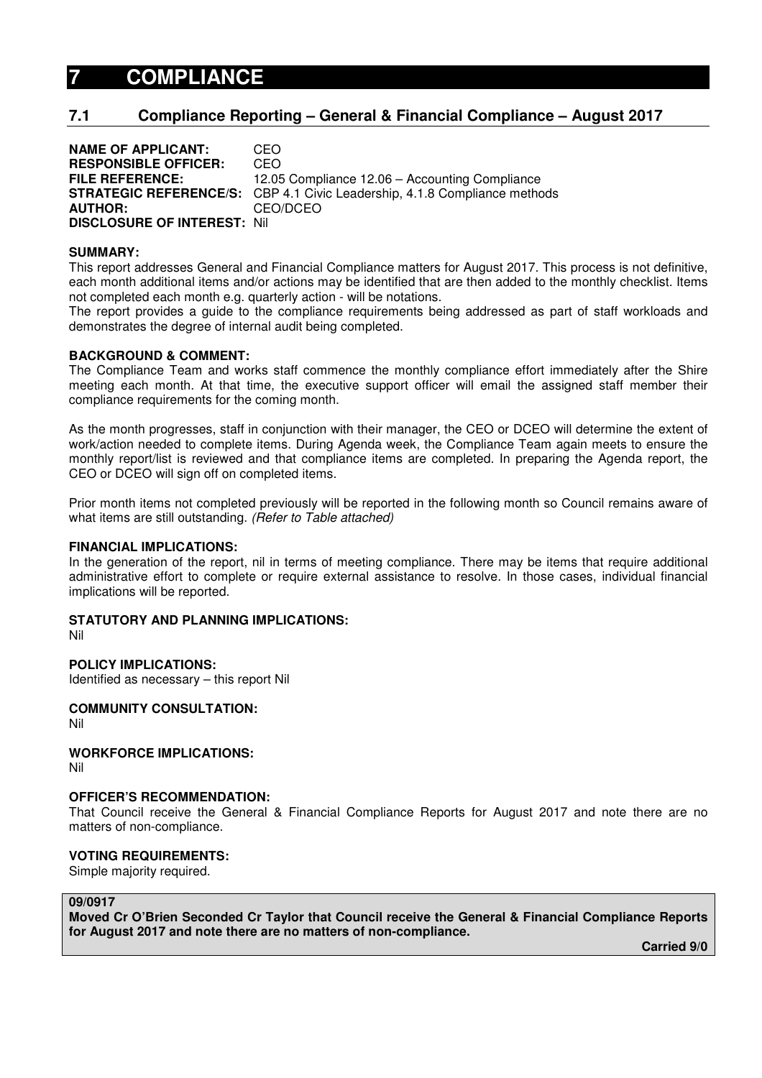# **7 COMPLIANCE**

# **7.1 Compliance Reporting – General & Financial Compliance – August 2017**

| <b>NAME OF APPLICANT:</b>          | CEO.                                                                             |
|------------------------------------|----------------------------------------------------------------------------------|
| <b>RESPONSIBLE OFFICER:</b>        | CEO                                                                              |
| <b>FILE REFERENCE:</b>             | 12.05 Compliance 12.06 – Accounting Compliance                                   |
|                                    | <b>STRATEGIC REFERENCE/S:</b> CBP 4.1 Civic Leadership, 4.1.8 Compliance methods |
| <b>AUTHOR:</b>                     | CEO/DCEO                                                                         |
| <b>DISCLOSURE OF INTEREST: Nil</b> |                                                                                  |

#### **SUMMARY:**

This report addresses General and Financial Compliance matters for August 2017. This process is not definitive, each month additional items and/or actions may be identified that are then added to the monthly checklist. Items not completed each month e.g. quarterly action - will be notations.

The report provides a guide to the compliance requirements being addressed as part of staff workloads and demonstrates the degree of internal audit being completed.

#### **BACKGROUND & COMMENT:**

The Compliance Team and works staff commence the monthly compliance effort immediately after the Shire meeting each month. At that time, the executive support officer will email the assigned staff member their compliance requirements for the coming month.

As the month progresses, staff in conjunction with their manager, the CEO or DCEO will determine the extent of work/action needed to complete items. During Agenda week, the Compliance Team again meets to ensure the monthly report/list is reviewed and that compliance items are completed. In preparing the Agenda report, the CEO or DCEO will sign off on completed items.

Prior month items not completed previously will be reported in the following month so Council remains aware of what items are still outstanding. (Refer to Table attached)

#### **FINANCIAL IMPLICATIONS:**

In the generation of the report, nil in terms of meeting compliance. There may be items that require additional administrative effort to complete or require external assistance to resolve. In those cases, individual financial implications will be reported.

# **STATUTORY AND PLANNING IMPLICATIONS:**

Nil

## **POLICY IMPLICATIONS:**

Identified as necessary – this report Nil

**COMMUNITY CONSULTATION:** 

Nil

**WORKFORCE IMPLICATIONS:**  Nil

#### **OFFICER'S RECOMMENDATION:**

That Council receive the General & Financial Compliance Reports for August 2017 and note there are no matters of non-compliance.

## **VOTING REQUIREMENTS:**

Simple majority required.

#### **09/0917**

**Moved Cr O'Brien Seconded Cr Taylor that Council receive the General & Financial Compliance Reports for August 2017 and note there are no matters of non-compliance.**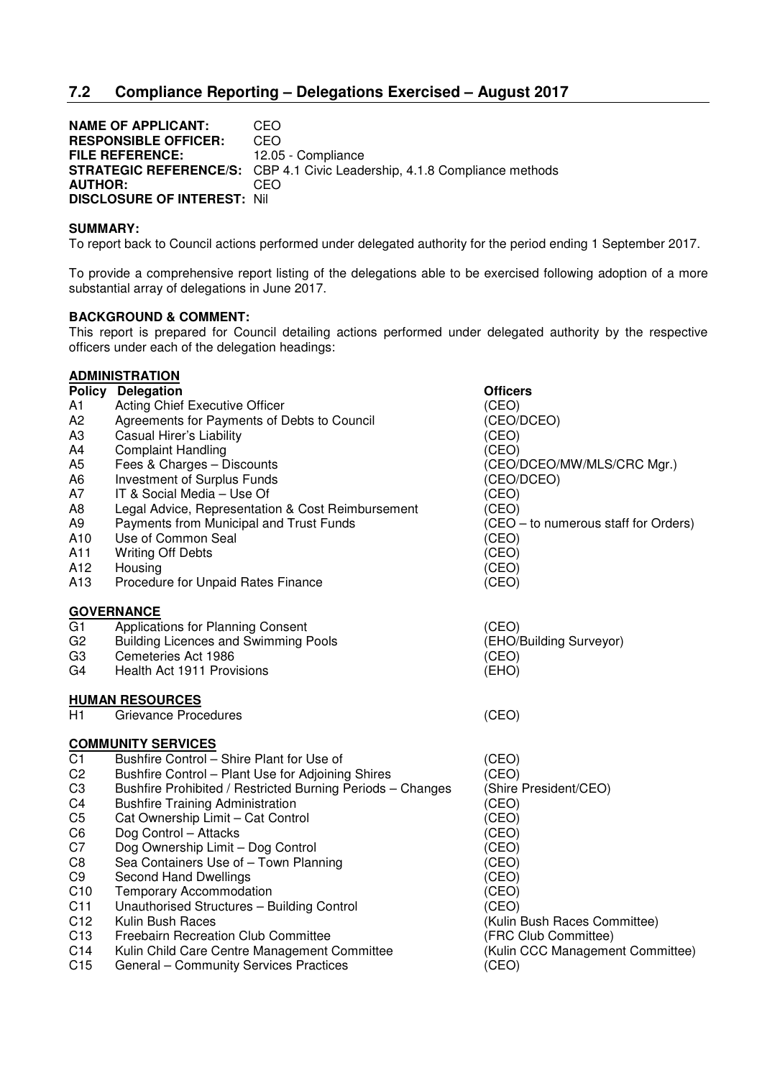# **7.2 Compliance Reporting – Delegations Exercised – August 2017**

**NAME OF APPLICANT:** CEO **RESPONSIBLE OFFICER:** CEO FILE REFERENCE: 12.05 - Compliance **STRATEGIC REFERENCE/S:** CBP 4.1 Civic Leadership, 4.1.8 Compliance methods **AUTHOR:** CEO **DISCLOSURE OF INTEREST:** Nil

#### **SUMMARY:**

To report back to Council actions performed under delegated authority for the period ending 1 September 2017.

To provide a comprehensive report listing of the delegations able to be exercised following adoption of a more substantial array of delegations in June 2017.

### **BACKGROUND & COMMENT:**

This report is prepared for Council detailing actions performed under delegated authority by the respective officers under each of the delegation headings:

|                 | <b>ADMINISTRATION</b>                                      |                                      |
|-----------------|------------------------------------------------------------|--------------------------------------|
|                 | Policy Delegation                                          | <b>Officers</b>                      |
| A1              | Acting Chief Executive Officer                             | (CEO)                                |
| A2              | Agreements for Payments of Debts to Council                | (CEO/DCEO)                           |
| A3              | Casual Hirer's Liability                                   | (CEO)                                |
| A4              | <b>Complaint Handling</b>                                  | (CEO)                                |
| A5              | Fees & Charges - Discounts                                 | (CEO/DCEO/MW/MLS/CRC Mgr.)           |
| A6              | Investment of Surplus Funds                                | (CEO/DCEO)                           |
| А7              | IT & Social Media - Use Of                                 | (CEO)                                |
| A8              | Legal Advice, Representation & Cost Reimbursement          | (CEO)                                |
| A9              | Payments from Municipal and Trust Funds                    | (CEO - to numerous staff for Orders) |
| A10             | Use of Common Seal                                         | (CEO)                                |
| A11             | <b>Writing Off Debts</b>                                   | (CEO)                                |
| A12             | Housing                                                    | (CEO)                                |
| A13             | Procedure for Unpaid Rates Finance                         | (CEO)                                |
|                 | <b>GOVERNANCE</b>                                          |                                      |
| G <sub>1</sub>  | Applications for Planning Consent                          | (CEO)                                |
| G <sub>2</sub>  | <b>Building Licences and Swimming Pools</b>                | (EHO/Building Surveyor)              |
| G <sub>3</sub>  | Cemeteries Act 1986                                        | (CEO)                                |
| G4              | Health Act 1911 Provisions                                 | (EHO)                                |
|                 | <b>HUMAN RESOURCES</b>                                     |                                      |
| H1              | Grievance Procedures                                       | (CEO)                                |
|                 | <b>COMMUNITY SERVICES</b>                                  |                                      |
| C <sub>1</sub>  | Bushfire Control - Shire Plant for Use of                  | (CEO)                                |
| C <sub>2</sub>  | Bushfire Control - Plant Use for Adjoining Shires          | (CEO)                                |
| C <sub>3</sub>  | Bushfire Prohibited / Restricted Burning Periods - Changes | (Shire President/CEO)                |
| C <sub>4</sub>  | <b>Bushfire Training Administration</b>                    | (CEO)                                |
| C <sub>5</sub>  | Cat Ownership Limit - Cat Control                          | (CEO)                                |
| C6              | Dog Control - Attacks                                      | (CEO)                                |
| C7              | Dog Ownership Limit - Dog Control                          | (CEO)                                |
| C <sub>8</sub>  | Sea Containers Use of - Town Planning                      | (CEO)                                |
| C <sub>9</sub>  | Second Hand Dwellings                                      | (CEO)                                |
| C10             | <b>Temporary Accommodation</b>                             | (CEO)                                |
| C <sub>11</sub> | Unauthorised Structures - Building Control                 | (CEO)                                |
| C12             | Kulin Bush Races                                           | (Kulin Bush Races Committee)         |
| C <sub>13</sub> | Freebairn Recreation Club Committee                        | (FRC Club Committee)                 |
| C <sub>14</sub> | Kulin Child Care Centre Management Committee               | (Kulin CCC Management Committee)     |
| C <sub>15</sub> | General - Community Services Practices                     | (CEO)                                |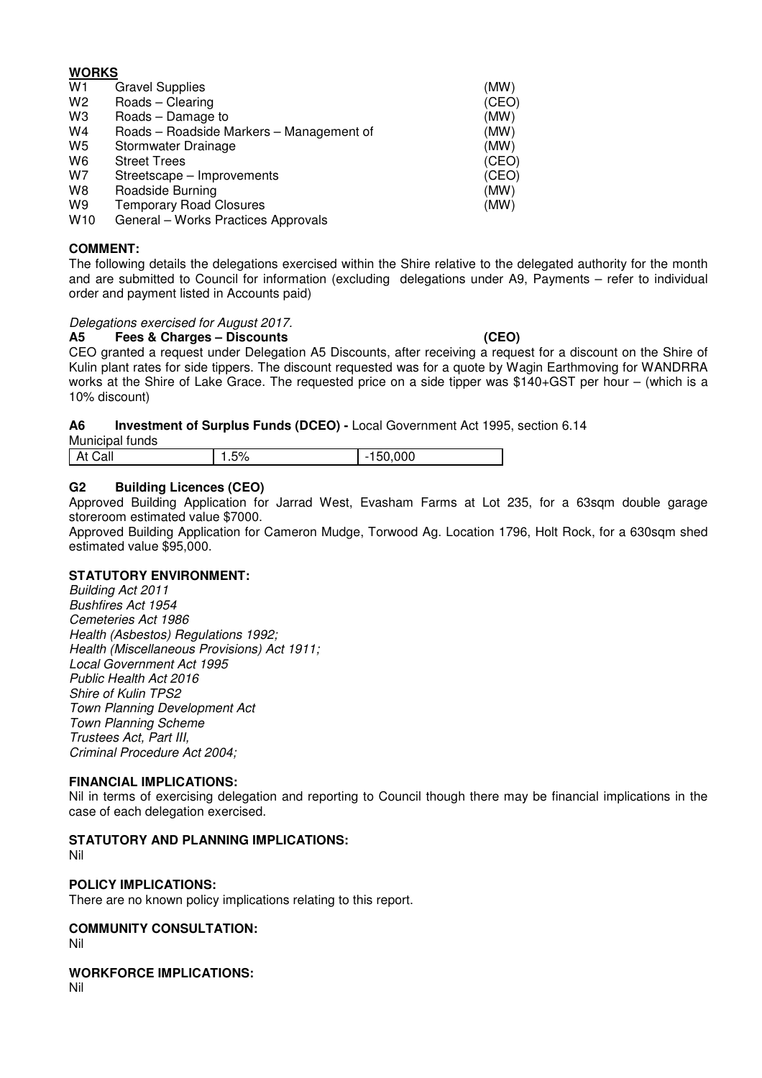# **WORKS**

| W1              | <b>Gravel Supplies</b>                   | (MW)  |
|-----------------|------------------------------------------|-------|
| W <sub>2</sub>  | Roads - Clearing                         | (CEO) |
| W3              | Roads - Damage to                        | (MW)  |
| W4              | Roads - Roadside Markers - Management of | (MW)  |
| W5              | Stormwater Drainage                      | (MW)  |
| W6              | <b>Street Trees</b>                      | (CEO) |
| W7              | Streetscape - Improvements               | (CEO) |
| W8              | Roadside Burning                         | (MW)  |
| W9              | <b>Temporary Road Closures</b>           | (MW)  |
| W <sub>10</sub> | General - Works Practices Approvals      |       |

# **COMMENT:**

The following details the delegations exercised within the Shire relative to the delegated authority for the month and are submitted to Council for information (excluding delegations under A9, Payments – refer to individual order and payment listed in Accounts paid)

## Delegations exercised for August 2017.

**A5 Fees & Charges – Discounts (CEO)** 

CEO granted a request under Delegation A5 Discounts, after receiving a request for a discount on the Shire of Kulin plant rates for side tippers. The discount requested was for a quote by Wagin Earthmoving for WANDRRA works at the Shire of Lake Grace. The requested price on a side tipper was \$140+GST per hour – (which is a 10% discount)

# **A6 Investment of Surplus Funds (DCEO) -** Local Government Act 1995, section 6.14

Municipal funds

| ገ00<br>E0/<br>$\sim$<br><b>L</b><br>$ \cdot$<br>$\overline{\phantom{a}}$<br>، ب |
|---------------------------------------------------------------------------------|
|---------------------------------------------------------------------------------|

# **G2 Building Licences (CEO)**

Approved Building Application for Jarrad West, Evasham Farms at Lot 235, for a 63sqm double garage storeroom estimated value \$7000.

Approved Building Application for Cameron Mudge, Torwood Ag. Location 1796, Holt Rock, for a 630sqm shed estimated value \$95,000.

## **STATUTORY ENVIRONMENT:**

Building Act 2011 Bushfires Act 1954 Cemeteries Act 1986 Health (Asbestos) Regulations 1992; Health (Miscellaneous Provisions) Act 1911; Local Government Act 1995 Public Health Act 2016 Shire of Kulin TPS2 Town Planning Development Act Town Planning Scheme Trustees Act, Part III, Criminal Procedure Act 2004;

## **FINANCIAL IMPLICATIONS:**

Nil in terms of exercising delegation and reporting to Council though there may be financial implications in the case of each delegation exercised.

# **STATUTORY AND PLANNING IMPLICATIONS:**

Nil

# **POLICY IMPLICATIONS:**

There are no known policy implications relating to this report.

# **COMMUNITY CONSULTATION:**

Nil

**WORKFORCE IMPLICATIONS:** 

Nil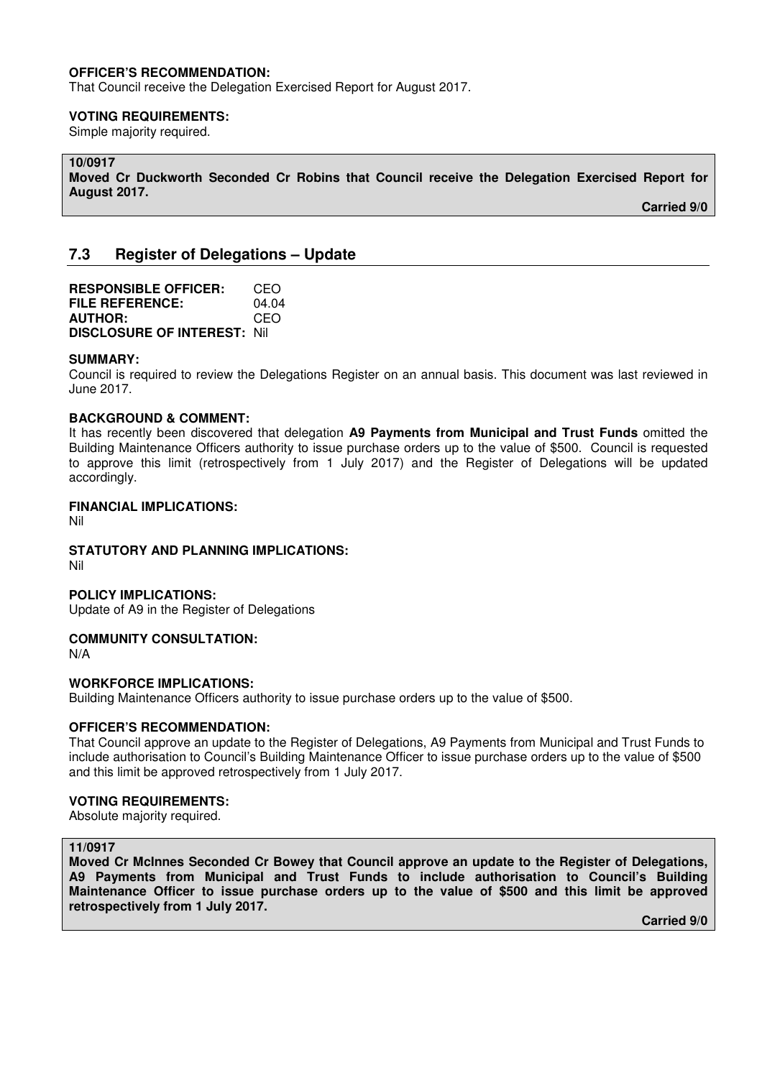### **OFFICER'S RECOMMENDATION:**

That Council receive the Delegation Exercised Report for August 2017.

#### **VOTING REQUIREMENTS:**

Simple majority required.

# **10/0917**

**Moved Cr Duckworth Seconded Cr Robins that Council receive the Delegation Exercised Report for August 2017.** 

 **Carried 9/0** 

# **7.3 Register of Delegations – Update**

**RESPONSIBLE OFFICER:** CEO **FILE REFERENCE:** 04.04 **AUTHOR:** CEO **DISCLOSURE OF INTEREST:** Nil

#### **SUMMARY:**

Council is required to review the Delegations Register on an annual basis. This document was last reviewed in June 2017.

### **BACKGROUND & COMMENT:**

It has recently been discovered that delegation **A9 Payments from Municipal and Trust Funds** omitted the Building Maintenance Officers authority to issue purchase orders up to the value of \$500. Council is requested to approve this limit (retrospectively from 1 July 2017) and the Register of Delegations will be updated accordingly.

#### **FINANCIAL IMPLICATIONS:**

Nil

**STATUTORY AND PLANNING IMPLICATIONS:** 

Nil

#### **POLICY IMPLICATIONS:**

Update of A9 in the Register of Delegations

### **COMMUNITY CONSULTATION:**

N/A

#### **WORKFORCE IMPLICATIONS:**

Building Maintenance Officers authority to issue purchase orders up to the value of \$500.

#### **OFFICER'S RECOMMENDATION:**

That Council approve an update to the Register of Delegations, A9 Payments from Municipal and Trust Funds to include authorisation to Council's Building Maintenance Officer to issue purchase orders up to the value of \$500 and this limit be approved retrospectively from 1 July 2017.

#### **VOTING REQUIREMENTS:**

Absolute majority required.

## **11/0917**

**Moved Cr McInnes Seconded Cr Bowey that Council approve an update to the Register of Delegations, A9 Payments from Municipal and Trust Funds to include authorisation to Council's Building Maintenance Officer to issue purchase orders up to the value of \$500 and this limit be approved retrospectively from 1 July 2017.**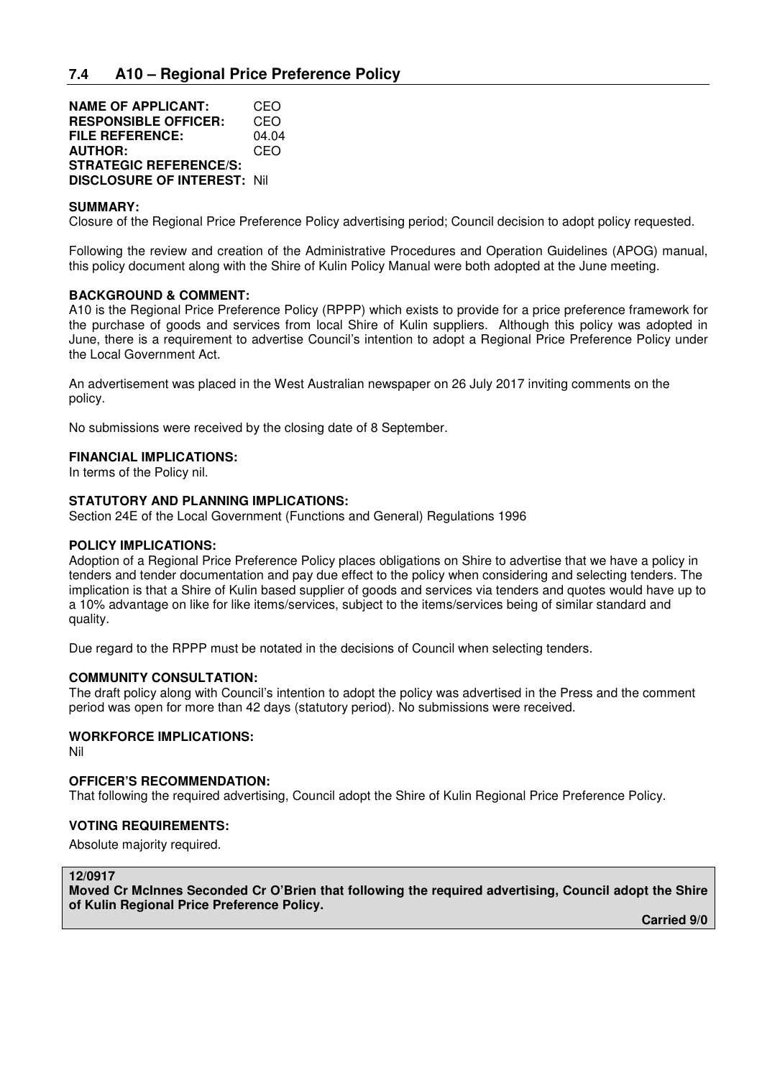| <b>NAME OF APPLICANT:</b>          | CEO   |
|------------------------------------|-------|
| <b>RESPONSIBLE OFFICER:</b>        | CEO   |
| <b>FILE REFERENCE:</b>             | 04.04 |
| <b>AUTHOR:</b>                     | CEO   |
| <b>STRATEGIC REFERENCE/S:</b>      |       |
| <b>DISCLOSURE OF INTEREST: Nil</b> |       |

### **SUMMARY:**

Closure of the Regional Price Preference Policy advertising period; Council decision to adopt policy requested.

Following the review and creation of the Administrative Procedures and Operation Guidelines (APOG) manual, this policy document along with the Shire of Kulin Policy Manual were both adopted at the June meeting.

### **BACKGROUND & COMMENT:**

A10 is the Regional Price Preference Policy (RPPP) which exists to provide for a price preference framework for the purchase of goods and services from local Shire of Kulin suppliers. Although this policy was adopted in June, there is a requirement to advertise Council's intention to adopt a Regional Price Preference Policy under the Local Government Act.

An advertisement was placed in the West Australian newspaper on 26 July 2017 inviting comments on the policy.

No submissions were received by the closing date of 8 September.

#### **FINANCIAL IMPLICATIONS:**

In terms of the Policy nil.

### **STATUTORY AND PLANNING IMPLICATIONS:**

Section 24E of the Local Government (Functions and General) Regulations 1996

#### **POLICY IMPLICATIONS:**

Adoption of a Regional Price Preference Policy places obligations on Shire to advertise that we have a policy in tenders and tender documentation and pay due effect to the policy when considering and selecting tenders. The implication is that a Shire of Kulin based supplier of goods and services via tenders and quotes would have up to a 10% advantage on like for like items/services, subject to the items/services being of similar standard and quality.

Due regard to the RPPP must be notated in the decisions of Council when selecting tenders.

#### **COMMUNITY CONSULTATION:**

The draft policy along with Council's intention to adopt the policy was advertised in the Press and the comment period was open for more than 42 days (statutory period). No submissions were received.

# **WORKFORCE IMPLICATIONS:**

Nil

#### **OFFICER'S RECOMMENDATION:**

That following the required advertising, Council adopt the Shire of Kulin Regional Price Preference Policy.

#### **VOTING REQUIREMENTS:**

Absolute majority required.

## **12/0917**

**Moved Cr McInnes Seconded Cr O'Brien that following the required advertising, Council adopt the Shire of Kulin Regional Price Preference Policy.**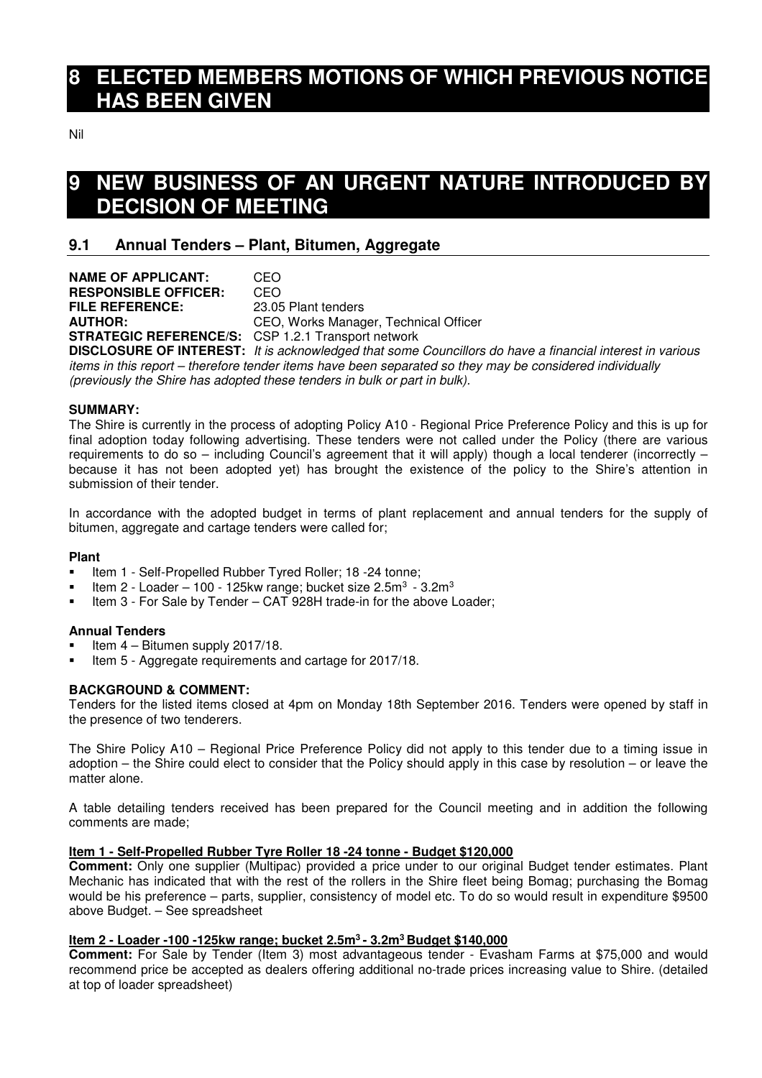# **8 ELECTED MEMBERS MOTIONS OF WHICH PREVIOUS NOTICE HAS BEEN GIVEN**

Nil

# **9 NEW BUSINESS OF AN URGENT NATURE INTRODUCED BY DECISION OF MEETING**

# **9.1 Annual Tenders – Plant, Bitumen, Aggregate**

| <b>NAME OF APPLICANT:</b>                                 | CEO                                                                                                   |
|-----------------------------------------------------------|-------------------------------------------------------------------------------------------------------|
| <b>RESPONSIBLE OFFICER:</b>                               | CEO                                                                                                   |
| <b>FILE REFERENCE:</b>                                    | 23.05 Plant tenders                                                                                   |
| <b>AUTHOR:</b>                                            | CEO, Works Manager, Technical Officer                                                                 |
| <b>STRATEGIC REFERENCE/S:</b> CSP 1.2.1 Transport network |                                                                                                       |
|                                                           | <b>DISCLOSURE OF INTEREST:</b> It is acknowledged that some Councillors do                            |
|                                                           | diameter da ileda masa amit - ileamafama ismaham diameter kestra kestra eras amata ah ara-ilean masar |

have a financial interest in various items in this report – therefore tender items have been separated so they may be considered individually (previously the Shire has adopted these tenders in bulk or part in bulk).

# **SUMMARY:**

The Shire is currently in the process of adopting Policy A10 - Regional Price Preference Policy and this is up for final adoption today following advertising. These tenders were not called under the Policy (there are various requirements to do so – including Council's agreement that it will apply) though a local tenderer (incorrectly – because it has not been adopted yet) has brought the existence of the policy to the Shire's attention in submission of their tender.

In accordance with the adopted budget in terms of plant replacement and annual tenders for the supply of bitumen, aggregate and cartage tenders were called for;

## **Plant**

- Item 1 Self-Propelled Rubber Tyred Roller; 18 -24 tonne;
- Item 2 Loader 100 125kw range; bucket size 2.5m<sup>3</sup> 3.2m<sup>3</sup>
- Item 3 For Sale by Tender CAT 928H trade-in for the above Loader;

## **Annual Tenders**

- Item 4 Bitumen supply 2017/18.
- Item 5 Aggregate requirements and cartage for 2017/18.

# **BACKGROUND & COMMENT:**

Tenders for the listed items closed at 4pm on Monday 18th September 2016. Tenders were opened by staff in the presence of two tenderers.

The Shire Policy A10 – Regional Price Preference Policy did not apply to this tender due to a timing issue in adoption – the Shire could elect to consider that the Policy should apply in this case by resolution – or leave the matter alone.

A table detailing tenders received has been prepared for the Council meeting and in addition the following comments are made;

# **Item 1 - Self-Propelled Rubber Tyre Roller 18 -24 tonne - Budget \$120,000**

**Comment:** Only one supplier (Multipac) provided a price under to our original Budget tender estimates. Plant Mechanic has indicated that with the rest of the rollers in the Shire fleet being Bomag; purchasing the Bomag would be his preference – parts, supplier, consistency of model etc. To do so would result in expenditure \$9500 above Budget. – See spreadsheet

# **Item 2 - Loader -100 -125kw range; bucket 2.5m<sup>3</sup>- 3.2m<sup>3</sup>Budget \$140,000**

**Comment:** For Sale by Tender (Item 3) most advantageous tender - Evasham Farms at \$75,000 and would recommend price be accepted as dealers offering additional no-trade prices increasing value to Shire. (detailed at top of loader spreadsheet)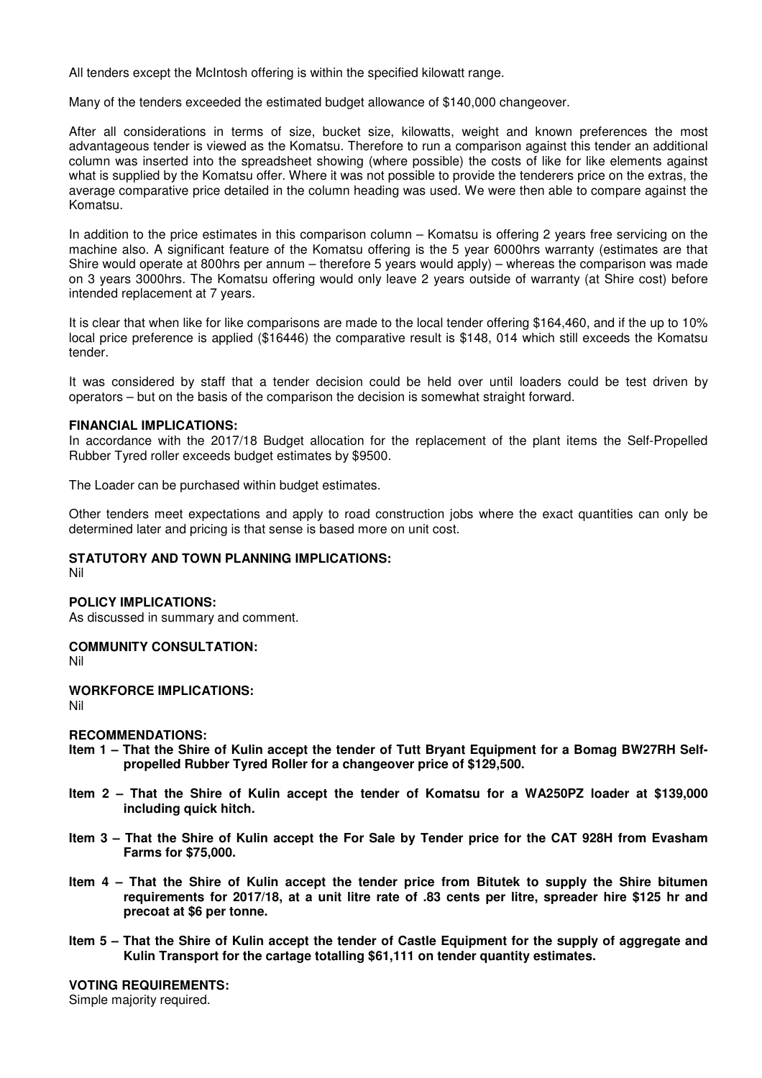All tenders except the McIntosh offering is within the specified kilowatt range.

Many of the tenders exceeded the estimated budget allowance of \$140,000 changeover.

After all considerations in terms of size, bucket size, kilowatts, weight and known preferences the most advantageous tender is viewed as the Komatsu. Therefore to run a comparison against this tender an additional column was inserted into the spreadsheet showing (where possible) the costs of like for like elements against what is supplied by the Komatsu offer. Where it was not possible to provide the tenderers price on the extras, the average comparative price detailed in the column heading was used. We were then able to compare against the Komatsu.

In addition to the price estimates in this comparison column – Komatsu is offering 2 years free servicing on the machine also. A significant feature of the Komatsu offering is the 5 year 6000hrs warranty (estimates are that Shire would operate at 800hrs per annum – therefore 5 years would apply) – whereas the comparison was made on 3 years 3000hrs. The Komatsu offering would only leave 2 years outside of warranty (at Shire cost) before intended replacement at 7 years.

It is clear that when like for like comparisons are made to the local tender offering \$164,460, and if the up to 10% local price preference is applied (\$16446) the comparative result is \$148, 014 which still exceeds the Komatsu tender.

It was considered by staff that a tender decision could be held over until loaders could be test driven by operators – but on the basis of the comparison the decision is somewhat straight forward.

#### **FINANCIAL IMPLICATIONS:**

In accordance with the 2017/18 Budget allocation for the replacement of the plant items the Self-Propelled Rubber Tyred roller exceeds budget estimates by \$9500.

The Loader can be purchased within budget estimates.

Other tenders meet expectations and apply to road construction jobs where the exact quantities can only be determined later and pricing is that sense is based more on unit cost.

### **STATUTORY AND TOWN PLANNING IMPLICATIONS:**

Nil

## **POLICY IMPLICATIONS:**

As discussed in summary and comment.

#### **COMMUNITY CONSULTATION:**

Nil

# **WORKFORCE IMPLICATIONS:**

Nil

# **RECOMMENDATIONS:**

- **Item 1 That the Shire of Kulin accept the tender of Tutt Bryant Equipment for a Bomag BW27RH Selfpropelled Rubber Tyred Roller for a changeover price of \$129,500.**
- **Item 2 That the Shire of Kulin accept the tender of Komatsu for a WA250PZ loader at \$139,000 including quick hitch.**
- **Item 3 That the Shire of Kulin accept the For Sale by Tender price for the CAT 928H from Evasham Farms for \$75,000.**
- **Item 4 That the Shire of Kulin accept the tender price from Bitutek to supply the Shire bitumen requirements for 2017/18, at a unit litre rate of .83 cents per litre, spreader hire \$125 hr and precoat at \$6 per tonne.**
- **Item 5 That the Shire of Kulin accept the tender of Castle Equipment for the supply of aggregate and Kulin Transport for the cartage totalling \$61,111 on tender quantity estimates.**

#### **VOTING REQUIREMENTS:**

Simple majority required.